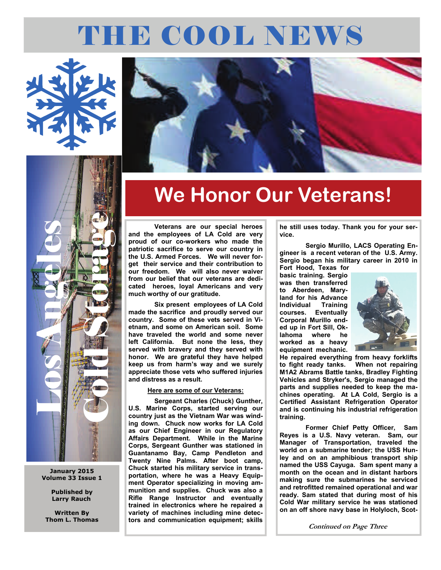# THE COOL NEWS





### **January 2015 Volume 33 Issue 1**

**Published by Larry Rauch** 

**Written By Thom L. Thomas** 



# **We Honor Our Veterans!**

 **Veterans are our special heroes and the employees of LA Cold are very proud of our co-workers who made the patriotic sacrifice to serve our country in the U.S. Armed Forces. We will never forget their service and their contribution to our freedom. We will also never waiver from our belief that our veterans are dedicated heroes, loyal Americans and very much worthy of our gratitude.** 

 **Six present employees of LA Cold made the sacrifice and proudly served our country. Some of these vets served in Vietnam, and some on American soil. Some have traveled the world and some never left California. But none the less, they served with bravery and they served with honor. We are grateful they have helped keep us from harm's way and we surely appreciate those vets who suffered injuries and distress as a result.** 

### **Here are some of our Veterans:**

 **Sergeant Charles (Chuck) Gunther, U.S. Marine Corps, started serving our country just as the Vietnam War was winding down. Chuck now works for LA Cold as our Chief Engineer in our Regulatory Affairs Department. While in the Marine Corps, Sergeant Gunther was stationed in Guantanamo Bay, Camp Pendleton and Twenty Nine Palms. After boot camp, Chuck started his military service in transportation, where he was a Heavy Equipment Operator specializing in moving ammunition and supplies. Chuck was also a Rifle Range Instructor and eventually trained in electronics where he repaired a variety of machines including mine detectors and communication equipment; skills** 

**he still uses today. Thank you for your service.** 

 **Sergio Murillo, LACS Operating Engineer is a recent veteran of the U.S. Army. Sergio began his military career in 2010 in** 

**Fort Hood, Texas for basic training. Sergio was then transferred to Aberdeen, Maryland for his Advance Individual Training Eventually Corporal Murillo ended up in Fort Sill, Oklahoma where he worked as a heavy equipment mechanic.** 



**He repaired everything from heavy forklifts to fight ready tanks. When not repairing M1A2 Abrams Battle tanks, Bradley Fighting Vehicles and Stryker's, Sergio managed the parts and supplies needed to keep the machines operating. At LA Cold, Sergio is a Certified Assistant Refrigeration Operator and is continuing his industrial refrigeration training.** 

**Former Chief Petty Officer, Sam Reyes is a U.S. Navy veteran. Sam, our Manager of Transportation, traveled the world on a submarine tender; the USS Hunley and on an amphibious transport ship named the USS Cayuga. Sam spent many a month on the ocean and in distant harbors making sure the submarines he serviced and retrofitted remained operational and war ready. Sam stated that during most of his Cold War military service he was stationed on an off shore navy base in Holyloch, Scot-**

**Continued on Page Three**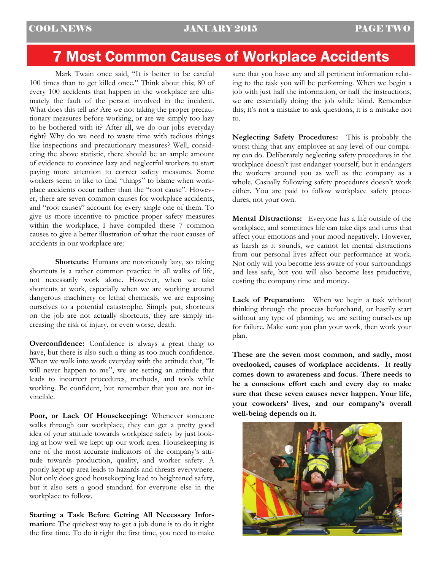# 7 Most Common Causes of Workplace Accidents

 Mark Twain once said, "It is better to be careful 100 times than to get killed once." Think about this; 80 of every 100 accidents that happen in the workplace are ultimately the fault of the person involved in the incident. What does this tell us? Are we not taking the proper precautionary measures before working, or are we simply too lazy to be bothered with it? After all, we do our jobs everyday right? Why do we need to waste time with tedious things like inspections and precautionary measures? Well, considering the above statistic, there should be an ample amount of evidence to convince lazy and neglectful workers to start paying more attention to correct safety measures. Some workers seem to like to find "things" to blame when workplace accidents occur rather than the "root cause". However, there are seven common causes for workplace accidents, and "root causes" account for every single one of them. To give us more incentive to practice proper safety measures within the workplace, I have compiled these 7 common causes to give a better illustration of what the root causes of accidents in our workplace are:

**Shortcuts:** Humans are notoriously lazy, so taking shortcuts is a rather common practice in all walks of life, not necessarily work alone. However, when we take shortcuts at work, especially when we are working around dangerous machinery or lethal chemicals, we are exposing ourselves to a potential catastrophe. Simply put, shortcuts on the job are not actually shortcuts, they are simply increasing the risk of injury, or even worse, death.

**Overconfidence:** Confidence is always a great thing to have, but there is also such a thing as too much confidence. When we walk into work everyday with the attitude that, "It will never happen to me", we are setting an attitude that leads to incorrect procedures, methods, and tools while working. Be confident, but remember that you are not invincible.

**Poor, or Lack Of Housekeeping:** Whenever someone walks through our workplace, they can get a pretty good idea of your attitude towards workplace safety by just looking at how well we kept up our work area. Housekeeping is one of the most accurate indicators of the company's attitude towards production, quality, and worker safety. A poorly kept up area leads to hazards and threats everywhere. Not only does good housekeeping lead to heightened safety, but it also sets a good standard for everyone else in the workplace to follow.

**Starting a Task Before Getting All Necessary Information:** The quickest way to get a job done is to do it right the first time. To do it right the first time, you need to make

sure that you have any and all pertinent information relating to the task you will be performing. When we begin a job with just half the information, or half the instructions, we are essentially doing the job while blind. Remember this; it's not a mistake to ask questions, it is a mistake not to.

**Neglecting Safety Procedures:** This is probably the worst thing that any employee at any level of our company can do. Deliberately neglecting safety procedures in the workplace doesn't just endanger yourself, but it endangers the workers around you as well as the company as a whole. Casually following safety procedures doesn't work either. You are paid to follow workplace safety procedures, not your own.

**Mental Distractions:** Everyone has a life outside of the workplace, and sometimes life can take dips and turns that affect your emotions and your mood negatively. However, as harsh as it sounds, we cannot let mental distractions from our personal lives affect our performance at work. Not only will you become less aware of your surroundings and less safe, but you will also become less productive, costing the company time and money.

Lack of Preparation: When we begin a task without thinking through the process beforehand, or hastily start without any type of planning, we are setting ourselves up for failure. Make sure you plan your work, then work your plan.

**These are the seven most common, and sadly, most overlooked, causes of workplace accidents. It really comes down to awareness and focus. There needs to be a conscious effort each and every day to make sure that these seven causes never happen. Your life, your coworkers' lives, and our company's overall well-being depends on it.** 

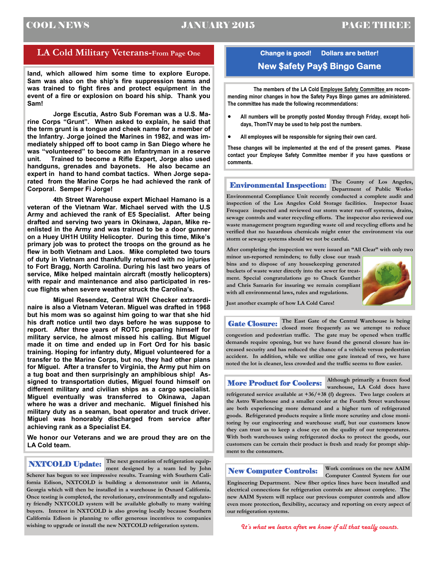### COOL NEWS JANUARY 2015 PAGE THREE

### **LA Cold Military Veterans-From Page One**

**land, which allowed him some time to explore Europe. Sam was also on the ship's fire suppression teams and was trained to fight fires and protect equipment in the event of a fire or explosion on board his ship. Thank you Sam!** 

 **Jorge Escutia, Astro Sub Foreman was a U.S. Marine Corps "Grunt". When asked to explain, he said that the term grunt is a tongue and cheek name for a member of the Infantry. Jorge joined the Marines in 1982, and was immediately shipped off to boot camp in San Diego where he was "volunteered" to become an Infantryman in a reserve unit. Trained to become a Rifle Expert, Jorge also used handguns, grenades and bayonets. He also became an expert in hand to hand combat tactics. When Jorge separated from the Marine Corps he had achieved the rank of Corporal. Semper Fi Jorge!** 

 **4th Street Warehouse expert Michael Hamano is a veteran of the Vietnam War. Michael served with the U.S Army and achieved the rank of E5 Specialist. After being drafted and serving two years in Okinawa, Japan, Mike reenlisted in the Army and was trained to be a door gunner on a Huey UH1H Utility Helicopter. During this time, Mike's primary job was to protect the troops on the ground as he flew in both Vietnam and Laos. Mike completed two tours of duty in Vietnam and thankfully returned with no injuries to Fort Bragg, North Carolina. During his last two years of service, Mike helped maintain aircraft (mostly helicopters) with repair and maintenance and also participated in rescue flights when severe weather struck the Carolina's.** 

 **Miguel Resendez, Central W/H Checker extraordinaire is also a Vietnam Veteran. Miguel was drafted in 1968 but his mom was so against him going to war that she hid his draft notice until two days before he was suppose to report. After three years of ROTC preparing himself for military service, he almost missed his calling. But Miguel made it on time and ended up in Fort Ord for his basic training. Hoping for infantry duty, Miguel volunteered for a transfer to the Marine Corps, but no, they had other plans for Miguel. After a transfer to Virginia, the Army put him on a tug boat and then surprisingly an amphibious ship! Assigned to transportation duties, Miguel found himself on different military and civilian ships as a cargo specialist. Miguel eventually was transferred to Okinawa, Japan where he was a driver and mechanic. Miguel finished his military duty as a seaman, boat operator and truck driver. Miguel was honorably discharged from service after achieving rank as a Specialist E4.** 

**We honor our Veterans and we are proud they are on the LA Cold team.** 

**The next generation of refrigeration equip-NXTCOLD Update:** The next generation of remgeration equip-<br>
ment designed by a team led by John **New Computer Controls:** 

**Scherer has begun to see impressive results. Teaming with Southern California Edison, NXTCOLD is building a demonstrator unit in Atlanta, Georgia which will then be installed in a warehouse in Oxnard California. Once testing is completed, the revolutionary, environmentally and regulatory friendly NXTCOLD system will be available globally to many waiting buyers. Interest in NXTCOLD is also growing locally because Southern California Edison is planning to offer generous incentives to companies wishing to upgrade or install the new NXTCOLD refrigeration system.** 

### **Change is good! Dollars are better! New \$afety Pay\$ Bingo Game**

**The members of the LA Cold Employee Safety Committee are recommending minor changes in how the Safety Pays Bingo games are administered. The committee has made the following recommendations:** 

- **All numbers will be promptly posted Monday through Friday, except holidays, ThomTV may be used to help post the numbers.**
- **All employees will be responsible for signing their own card.**

**These changes will be implemented at the end of the present games. Please contact your Employee Safety Committee member if you have questions or comments.** 

**The County of Los Angeles, Department of Public Works-Environmental Compliance Unit recently conducted a complete audit and inspection of the Los Angeles Cold Storage facilities. Inspector Isaac Fresquez inspected and reviewed our storm water run-off systems, drains, sewage controls and water recycling efforts. The inspector also reviewed our waste management program regarding waste oil and recycling efforts and he verified that no hazardous chemicals might enter the environment via our storm or sewage systems should we not be careful.**  Environmental Inspection:

**After completing the inspection we were issued an "All Clear" with only two** 

**minor un-reported reminders; to fully close our trash bins and to dispose of any housekeeping generated buckets of waste water directly into the sewer for treatment. Special congratulations go to Chuck Gunther and Chris Samarin for insuring we remain compliant with all environmental laws, rules and regulations.** 



**Just another example of how LA Cold Cares!** 

**The East Gate of the Central Warehouse is being closed more frequently as we attempt to reduce congestion and pedestrian traffic. The gate may be opened when traffic demands require opening, but we have found the general closure has increased security and has reduced the chance of a vehicle versus pedestrian accident. In addition, while we utilize one gate instead of two, we have noted the lot is cleaner, less crowded and the traffic seems to flow easier.**  Gate Closure:

More Product for Coolers:

**Although primarily a frozen food** 

**warehouse, LA Cold does have refrigerated service available at +36/+38 (f) degrees. Two large coolers at the Astro Warehouse and a smaller cooler at the Fourth Street warehouse are both experiencing more demand and a higher turn of refrigerated goods. Refrigerated products require a little more scrutiny and close monitoring by our engineering and warehouse staff, but our customers know they can trust us to keep a close eye on the quality of our temperatures. With both warehouses using refrigerated docks to protect the goods, our customers can be certain their product is fresh and ready for prompt shipment to the consumers.** 

**Work continues on the new AAIM Computer Control System for our** 

**Engineering Department. New fiber optics lines have been installed and electrical connections for refrigeration controls are almost complete. The new AAIM System will replace our previous computer controls and allow even more protection, flexibility, accuracy and reporting on every aspect of our refrigeration systems.** 

*It's what we learn after we know if all that really counts.*